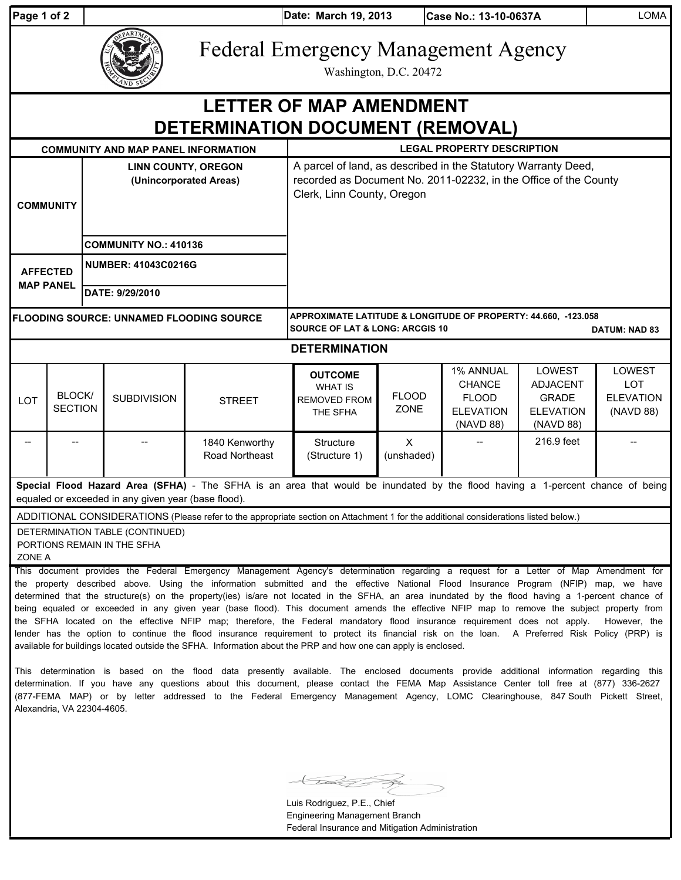| Page 1 of 2 |            |
|-------------|------------|
|             | Federal Er |

**Page 1 of 2 March 19, 2013**

**Case No.: 13-10-0637A** LOMA

## mergency Management Agency

Washington, D.C. 20472

| $\sim$ D SV                                                                                                                                                                           |                          |                                                                                                                                                                  |                                                                                                                                      |                                                                                                                                                                                                                                                                                                                                                                                                                                                                                                                                                                                                                                                                                                                                                                                                                                                             |                                                                     |                             |                                                                             |                                                                            |                                                       |  |
|---------------------------------------------------------------------------------------------------------------------------------------------------------------------------------------|--------------------------|------------------------------------------------------------------------------------------------------------------------------------------------------------------|--------------------------------------------------------------------------------------------------------------------------------------|-------------------------------------------------------------------------------------------------------------------------------------------------------------------------------------------------------------------------------------------------------------------------------------------------------------------------------------------------------------------------------------------------------------------------------------------------------------------------------------------------------------------------------------------------------------------------------------------------------------------------------------------------------------------------------------------------------------------------------------------------------------------------------------------------------------------------------------------------------------|---------------------------------------------------------------------|-----------------------------|-----------------------------------------------------------------------------|----------------------------------------------------------------------------|-------------------------------------------------------|--|
| <b>LETTER OF MAP AMENDMENT</b><br><b>DETERMINATION DOCUMENT (REMOVAL)</b>                                                                                                             |                          |                                                                                                                                                                  |                                                                                                                                      |                                                                                                                                                                                                                                                                                                                                                                                                                                                                                                                                                                                                                                                                                                                                                                                                                                                             |                                                                     |                             |                                                                             |                                                                            |                                                       |  |
|                                                                                                                                                                                       |                          |                                                                                                                                                                  | <b>COMMUNITY AND MAP PANEL INFORMATION</b>                                                                                           |                                                                                                                                                                                                                                                                                                                                                                                                                                                                                                                                                                                                                                                                                                                                                                                                                                                             | <b>LEGAL PROPERTY DESCRIPTION</b>                                   |                             |                                                                             |                                                                            |                                                       |  |
| <b>LINN COUNTY, OREGON</b><br>(Unincorporated Areas)<br><b>COMMUNITY</b>                                                                                                              |                          | A parcel of land, as described in the Statutory Warranty Deed,<br>recorded as Document No. 2011-02232, in the Office of the County<br>Clerk, Linn County, Oregon |                                                                                                                                      |                                                                                                                                                                                                                                                                                                                                                                                                                                                                                                                                                                                                                                                                                                                                                                                                                                                             |                                                                     |                             |                                                                             |                                                                            |                                                       |  |
|                                                                                                                                                                                       |                          | <b>COMMUNITY NO.: 410136</b>                                                                                                                                     |                                                                                                                                      |                                                                                                                                                                                                                                                                                                                                                                                                                                                                                                                                                                                                                                                                                                                                                                                                                                                             |                                                                     |                             |                                                                             |                                                                            |                                                       |  |
| <b>AFFECTED</b><br><b>MAP PANEL</b>                                                                                                                                                   |                          | <b>NUMBER: 41043C0216G</b>                                                                                                                                       |                                                                                                                                      |                                                                                                                                                                                                                                                                                                                                                                                                                                                                                                                                                                                                                                                                                                                                                                                                                                                             |                                                                     |                             |                                                                             |                                                                            |                                                       |  |
|                                                                                                                                                                                       |                          | DATE: 9/29/2010                                                                                                                                                  |                                                                                                                                      |                                                                                                                                                                                                                                                                                                                                                                                                                                                                                                                                                                                                                                                                                                                                                                                                                                                             |                                                                     |                             |                                                                             |                                                                            |                                                       |  |
| FLOODING SOURCE: UNNAMED FLOODING SOURCE                                                                                                                                              |                          |                                                                                                                                                                  | APPROXIMATE LATITUDE & LONGITUDE OF PROPERTY: 44.660, -123.058<br><b>SOURCE OF LAT &amp; LONG: ARCGIS 10</b><br><b>DATUM: NAD 83</b> |                                                                                                                                                                                                                                                                                                                                                                                                                                                                                                                                                                                                                                                                                                                                                                                                                                                             |                                                                     |                             |                                                                             |                                                                            |                                                       |  |
|                                                                                                                                                                                       |                          |                                                                                                                                                                  |                                                                                                                                      |                                                                                                                                                                                                                                                                                                                                                                                                                                                                                                                                                                                                                                                                                                                                                                                                                                                             | <b>DETERMINATION</b>                                                |                             |                                                                             |                                                                            |                                                       |  |
| <b>LOT</b>                                                                                                                                                                            | BLOCK/<br><b>SECTION</b> |                                                                                                                                                                  | <b>SUBDIVISION</b>                                                                                                                   | <b>STREET</b>                                                                                                                                                                                                                                                                                                                                                                                                                                                                                                                                                                                                                                                                                                                                                                                                                                               | <b>OUTCOME</b><br><b>WHAT IS</b><br><b>REMOVED FROM</b><br>THE SFHA | <b>FLOOD</b><br><b>ZONE</b> | 1% ANNUAL<br><b>CHANCE</b><br><b>FLOOD</b><br><b>ELEVATION</b><br>(NAVD 88) | LOWEST<br><b>ADJACENT</b><br><b>GRADE</b><br><b>ELEVATION</b><br>(NAVD 88) | <b>LOWEST</b><br>LOT<br><b>ELEVATION</b><br>(NAVD 88) |  |
|                                                                                                                                                                                       |                          |                                                                                                                                                                  |                                                                                                                                      | 1840 Kenworthy<br>Road Northeast                                                                                                                                                                                                                                                                                                                                                                                                                                                                                                                                                                                                                                                                                                                                                                                                                            | Structure<br>(Structure 1)                                          | $\times$<br>(unshaded)      |                                                                             | 216.9 feet                                                                 |                                                       |  |
| Special Flood Hazard Area (SFHA) - The SFHA is an area that would be inundated by the flood having a 1-percent chance of being<br>equaled or exceeded in any given year (base flood). |                          |                                                                                                                                                                  |                                                                                                                                      |                                                                                                                                                                                                                                                                                                                                                                                                                                                                                                                                                                                                                                                                                                                                                                                                                                                             |                                                                     |                             |                                                                             |                                                                            |                                                       |  |
|                                                                                                                                                                                       |                          |                                                                                                                                                                  |                                                                                                                                      | ADDITIONAL CONSIDERATIONS (Please refer to the appropriate section on Attachment 1 for the additional considerations listed below.)                                                                                                                                                                                                                                                                                                                                                                                                                                                                                                                                                                                                                                                                                                                         |                                                                     |                             |                                                                             |                                                                            |                                                       |  |
| DETERMINATION TABLE (CONTINUED)<br>PORTIONS REMAIN IN THE SFHA<br>ZONE A                                                                                                              |                          |                                                                                                                                                                  |                                                                                                                                      |                                                                                                                                                                                                                                                                                                                                                                                                                                                                                                                                                                                                                                                                                                                                                                                                                                                             |                                                                     |                             |                                                                             |                                                                            |                                                       |  |
|                                                                                                                                                                                       |                          |                                                                                                                                                                  |                                                                                                                                      | This document provides the Federal Emergency Management Agency's determination regarding a request for a Letter of Map Amendment for<br>the property described above. Using the information submitted and the effective National Flood Insurance Program (NFIP) map, we have<br>determined that the structure(s) on the property(ies) is/are not located in the SFHA, an area inundated by the flood having a 1-percent chance of<br>being equaled or exceeded in any given year (base flood). This document amends the effective NFIP map to remove the subject property from<br>the SFHA located on the effective NFIP map; therefore, the Federal mandatory flood insurance requirement does not apply.<br>lender has the option to continue the flood insurance requirement to protect its financial risk on the loan. A Preferred Risk Policy (PRP) is |                                                                     |                             |                                                                             |                                                                            | However, the                                          |  |

This determination is based on the flood data presently available. The enclosed documents provide additional information regarding this determination. If you have any questions about this document, please contact the FEMA Map Assistance Center toll free at (877) 336-2627 (877-FEMA MAP) or by letter addressed to the Federal Emergency Management Agency, LOMC Clearinghouse, 847 South Pickett Street, Alexandria, VA 22304-4605.

available for buildings located outside the SFHA. Information about the PRP and how one can apply is enclosed.

F.

Luis Rodriguez, P.E., Chief Engineering Management Branch Federal Insurance and Mitigation Administration